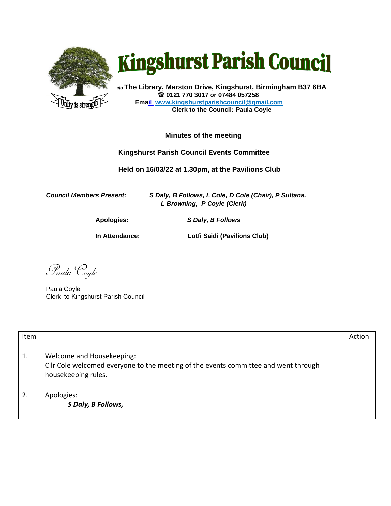

## **Kingshurst Parish Council**

**c/o The Library, Marston Drive, Kingshurst, Birmingham B37 6BA 0121 770 3017 or 07484 057258 Email www.kingshurstparishcouncil@gmail.com Clerk to the Council: Paula Coyle**

## **Minutes of the meeting**

## **Kingshurst Parish Council Events Committee**

 **Held on 16/03/22 at 1.30pm, at the Pavilions Club**

*Council Members Present: S Daly, B Follows, L Cole, D Cole (Chair), P Sultana, L Browning, P Coyle (Clerk)* 

**Apologies:** *S Daly, B Follows*

**In Attendance: Lotfi Saidi (Pavilions Club)** 

Paula Coyle

Paula Coyle Clerk to Kingshurst Parish Council

| Item |                                                                                                                                         | Action |
|------|-----------------------------------------------------------------------------------------------------------------------------------------|--------|
| 1.   | Welcome and Housekeeping:<br>Cllr Cole welcomed everyone to the meeting of the events committee and went through<br>housekeeping rules. |        |
| 2.   | Apologies:<br>S Daly, B Follows,                                                                                                        |        |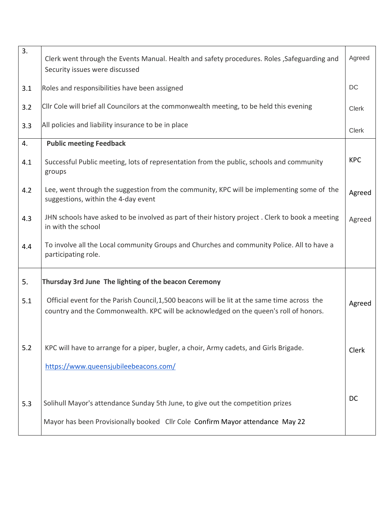| 3.  | Clerk went through the Events Manual. Health and safety procedures. Roles , Safeguarding and<br>Security issues were discussed                                                        | Agreed       |
|-----|---------------------------------------------------------------------------------------------------------------------------------------------------------------------------------------|--------------|
| 3.1 | Roles and responsibilities have been assigned                                                                                                                                         | DC           |
| 3.2 | CIIr Cole will brief all Councilors at the commonwealth meeting, to be held this evening                                                                                              | Clerk        |
| 3.3 | All policies and liability insurance to be in place                                                                                                                                   | <b>Clerk</b> |
| 4.  | <b>Public meeting Feedback</b>                                                                                                                                                        |              |
| 4.1 | Successful Public meeting, lots of representation from the public, schools and community<br>groups                                                                                    | <b>KPC</b>   |
| 4.2 | Lee, went through the suggestion from the community, KPC will be implementing some of the<br>suggestions, within the 4-day event                                                      | Agreed       |
| 4.3 | JHN schools have asked to be involved as part of their history project. Clerk to book a meeting<br>in with the school                                                                 | Agreed       |
| 4.4 | To involve all the Local community Groups and Churches and community Police. All to have a<br>participating role.                                                                     |              |
| 5.  | Thursday 3rd June The lighting of the beacon Ceremony                                                                                                                                 |              |
| 5.1 | Official event for the Parish Council, 1,500 beacons will be lit at the same time across the<br>country and the Commonwealth. KPC will be acknowledged on the queen's roll of honors. | Agreed       |
| 5.2 | KPC will have to arrange for a piper, bugler, a choir, Army cadets, and Girls Brigade.<br>https://www.queensjubileebeacons.com/                                                       | Clerk        |
| 5.3 | Solihull Mayor's attendance Sunday 5th June, to give out the competition prizes<br>Mayor has been Provisionally booked Cllr Cole Confirm Mayor attendance May 22                      | <b>DC</b>    |
|     |                                                                                                                                                                                       |              |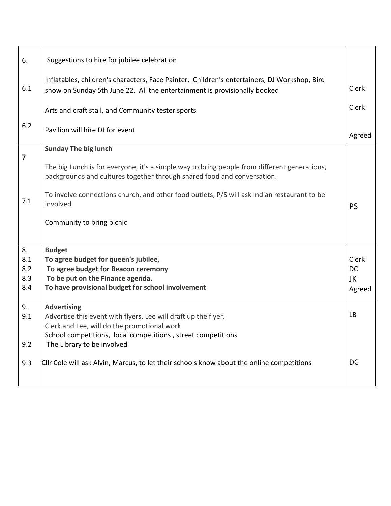| 6.             | Suggestions to hire for jubilee celebration                                                                                                                               |                    |
|----------------|---------------------------------------------------------------------------------------------------------------------------------------------------------------------------|--------------------|
| 6.1            | Inflatables, children's characters, Face Painter, Children's entertainers, DJ Workshop, Bird<br>show on Sunday 5th June 22. All the entertainment is provisionally booked | <b>Clerk</b>       |
|                | Arts and craft stall, and Community tester sports                                                                                                                         | Clerk              |
| 6.2            | Pavilion will hire DJ for event                                                                                                                                           | Agreed             |
| $\overline{7}$ | <b>Sunday The big lunch</b>                                                                                                                                               |                    |
|                | The big Lunch is for everyone, it's a simple way to bring people from different generations,<br>backgrounds and cultures together through shared food and conversation.   |                    |
| 7.1            | To involve connections church, and other food outlets, P/S will ask Indian restaurant to be<br>involved                                                                   | <b>PS</b>          |
|                | Community to bring picnic                                                                                                                                                 |                    |
| 8.             | <b>Budget</b>                                                                                                                                                             |                    |
| 8.1<br>8.2     | To agree budget for queen's jubilee,                                                                                                                                      | Clerk<br><b>DC</b> |
| 8.3            | To agree budget for Beacon ceremony<br>To be put on the Finance agenda.                                                                                                   | JK                 |
| 8.4            | To have provisional budget for school involvement                                                                                                                         | Agreed             |
| 9.             | <b>Advertising</b>                                                                                                                                                        |                    |
| 9.1            | Advertise this event with flyers, Lee will draft up the flyer.                                                                                                            | <b>LB</b>          |
|                | Clerk and Lee, will do the promotional work<br>School competitions, local competitions, street competitions                                                               |                    |
| 9.2            | The Library to be involved                                                                                                                                                |                    |
| 9.3            | CIIr Cole will ask Alvin, Marcus, to let their schools know about the online competitions                                                                                 | DC                 |